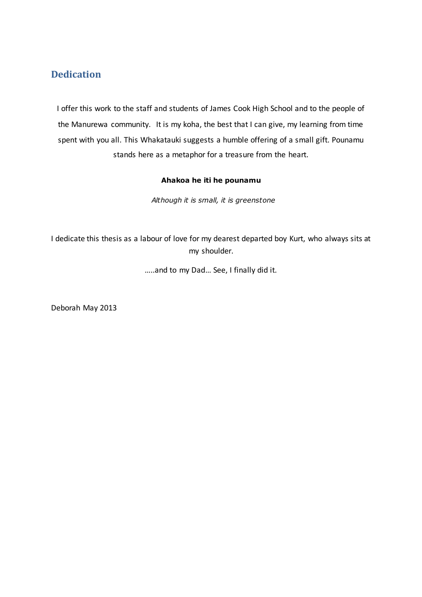## **Dedication**

I offer this work to the staff and students of James Cook High School and to the people of the Manurewa community. It is my koha, the best that I can give, my learning from time spent with you all. This Whakatauki suggests a humble offering of a small gift. Pounamu stands here as a metaphor for a treasure from the heart.

## **Ahakoa he iti he pounamu**

 *Although it is small, it is greenstone*

I dedicate this thesis as a labour of love for my dearest departed boy Kurt, who always sits at my shoulder.

…..and to my Dad… See, I finally did it.

Deborah May 2013